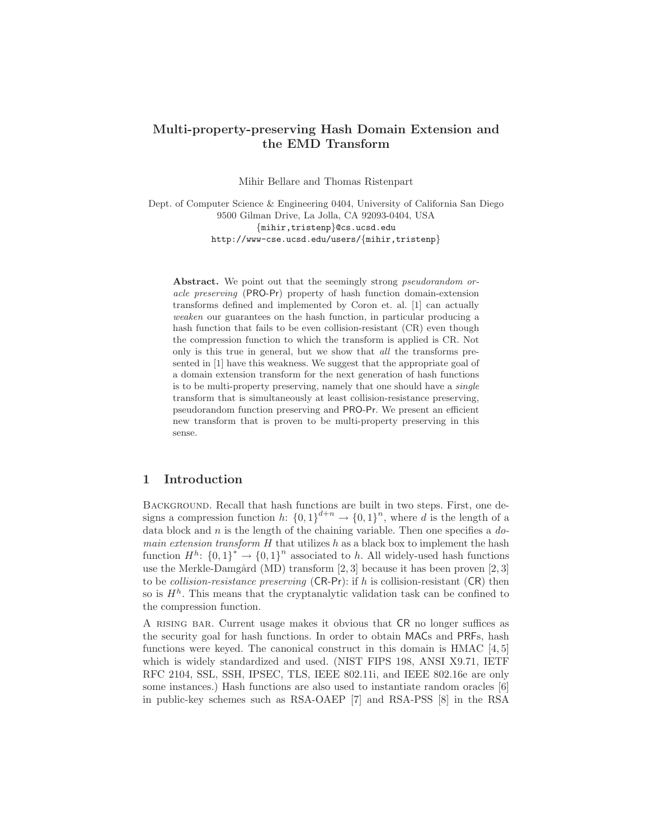# Multi-property-preserving Hash Domain Extension and the EMD Transform

Mihir Bellare and Thomas Ristenpart

Dept. of Computer Science & Engineering 0404, University of California San Diego 9500 Gilman Drive, La Jolla, CA 92093-0404, USA {mihir,tristenp}@cs.ucsd.edu http://www-cse.ucsd.edu/users/{mihir,tristenp}

Abstract. We point out that the seemingly strong *pseudorandom* oracle preserving (PRO-Pr) property of hash function domain-extension transforms defined and implemented by Coron et. al. [1] can actually weaken our guarantees on the hash function, in particular producing a hash function that fails to be even collision-resistant (CR) even though the compression function to which the transform is applied is CR. Not only is this true in general, but we show that all the transforms presented in [1] have this weakness. We suggest that the appropriate goal of a domain extension transform for the next generation of hash functions is to be multi-property preserving, namely that one should have a single transform that is simultaneously at least collision-resistance preserving, pseudorandom function preserving and PRO-Pr. We present an efficient new transform that is proven to be multi-property preserving in this sense.

## 1 Introduction

Background. Recall that hash functions are built in two steps. First, one designs a compression function h:  ${0,1}^{d+n} \rightarrow {0,1}^n$ , where d is the length of a data block and  $n$  is the length of the chaining variable. Then one specifies a  $do$ *main extension transform*  $H$  that utilizes  $h$  as a black box to implement the hash function  $H^h$ :  $\{0,1\}^* \to \{0,1\}^n$  associated to h. All widely-used hash functions use the Merkle-Damgård (MD) transform  $[2, 3]$  because it has been proven  $[2, 3]$ to be *collision-resistance preserving*  $(CR-Pr)$ : if h is collision-resistant  $(CR)$  then so is  $H<sup>h</sup>$ . This means that the cryptanalytic validation task can be confined to the compression function.

A rising bar. Current usage makes it obvious that CR no longer suffices as the security goal for hash functions. In order to obtain MACs and PRFs, hash functions were keyed. The canonical construct in this domain is  $HMAC [4, 5]$ which is widely standardized and used. (NIST FIPS 198, ANSI X9.71, IETF RFC 2104, SSL, SSH, IPSEC, TLS, IEEE 802.11i, and IEEE 802.16e are only some instances.) Hash functions are also used to instantiate random oracles [6] in public-key schemes such as RSA-OAEP [7] and RSA-PSS [8] in the RSA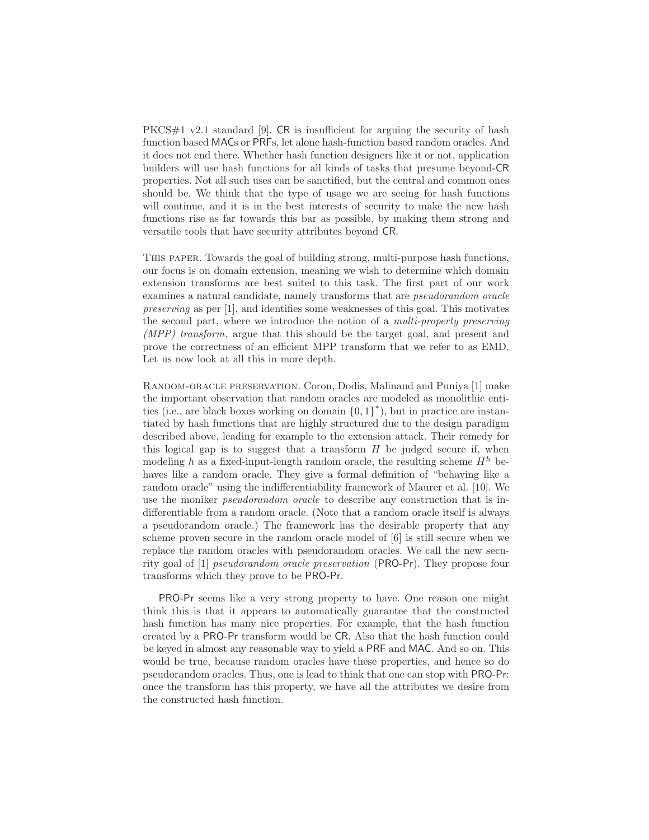$PKCS#1$  v2.1 standard [9]. CR is insufficient for arguing the security of hash function based MACs or PRFs, let alone hash-function based random oracles. And it does not end there. Whether hash function designers like it or not, application builders will use hash functions for all kinds of tasks that presume beyond-CR properties. Not all such uses can be sanctified, but the central and common ones should be. We think that the type of usage we are seeing for hash functions will continue, and it is in the best interests of security to make the new hash functions rise as far towards this bar as possible, by making them strong and versatile tools that have security attributes beyond CR.

This paper. Towards the goal of building strong, multi-purpose hash functions, our focus is on domain extension, meaning we wish to determine which domain extension transforms are best suited to this task. The first part of our work examines a natural candidate, namely transforms that are pseudorandom oracle preserving as per [1], and identifies some weaknesses of this goal. This motivates the second part, where we introduce the notion of a multi-property preserving (MPP) transform, argue that this should be the target goal, and present and prove the correctness of an efficient MPP transform that we refer to as EMD. Let us now look at all this in more depth.

Random-oracle preservation. Coron, Dodis, Malinaud and Puniya [1] make the important observation that random oracles are modeled as monolithic entities (i.e., are black boxes working on domain  $\{0,1\}^*$ ), but in practice are instantiated by hash functions that are highly structured due to the design paradigm described above, leading for example to the extension attack. Their remedy for this logical gap is to suggest that a transform  $H$  be judged secure if, when modeling h as a fixed-input-length random oracle, the resulting scheme  $H<sup>h</sup>$  behaves like a random oracle. They give a formal definition of "behaving like a random oracle" using the indifferentiability framework of Maurer et al. [10]. We use the moniker *pseudorandom oracle* to describe any construction that is indifferentiable from a random oracle. (Note that a random oracle itself is always a pseudorandom oracle.) The framework has the desirable property that any scheme proven secure in the random oracle model of [6] is still secure when we replace the random oracles with pseudorandom oracles. We call the new security goal of [1] pseudorandom oracle preservation (PRO-Pr). They propose four transforms which they prove to be PRO-Pr.

PRO-Pr seems like a very strong property to have. One reason one might think this is that it appears to automatically guarantee that the constructed hash function has many nice properties. For example, that the hash function created by a PRO-Pr transform would be CR. Also that the hash function could be keyed in almost any reasonable way to yield a PRF and MAC. And so on. This would be true, because random oracles have these properties, and hence so do pseudorandom oracles. Thus, one is lead to think that one can stop with PRO-Pr: once the transform has this property, we have all the attributes we desire from the constructed hash function.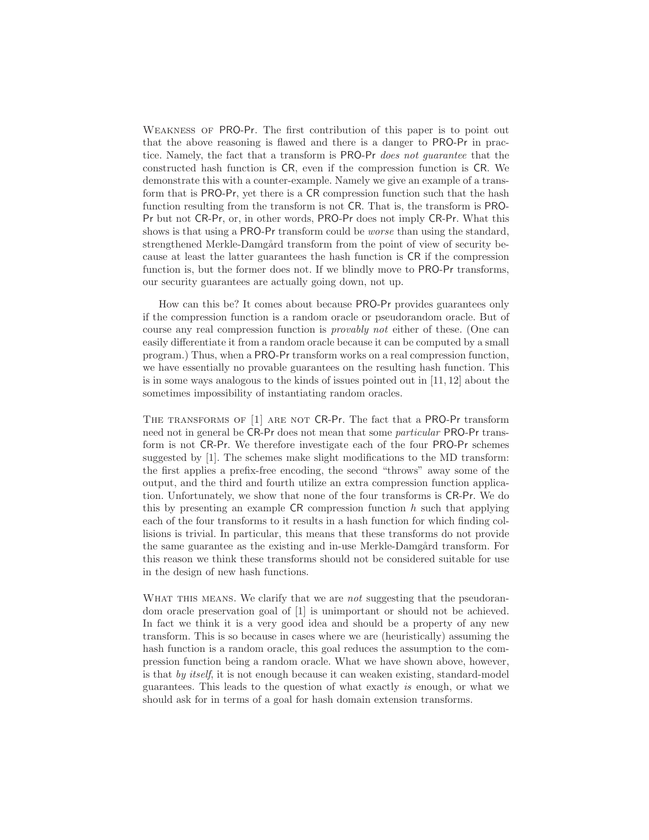Weakness of PRO-Pr. The first contribution of this paper is to point out that the above reasoning is flawed and there is a danger to PRO-Pr in practice. Namely, the fact that a transform is PRO-Pr does not guarantee that the constructed hash function is CR, even if the compression function is CR. We demonstrate this with a counter-example. Namely we give an example of a transform that is PRO-Pr, yet there is a CR compression function such that the hash function resulting from the transform is not CR. That is, the transform is PRO-Pr but not CR-Pr, or, in other words, PRO-Pr does not imply CR-Pr. What this shows is that using a PRO-Pr transform could be worse than using the standard, strengthened Merkle-Damgård transform from the point of view of security because at least the latter guarantees the hash function is CR if the compression function is, but the former does not. If we blindly move to PRO-Pr transforms, our security guarantees are actually going down, not up.

How can this be? It comes about because PRO-Pr provides guarantees only if the compression function is a random oracle or pseudorandom oracle. But of course any real compression function is provably not either of these. (One can easily differentiate it from a random oracle because it can be computed by a small program.) Thus, when a PRO-Pr transform works on a real compression function, we have essentially no provable guarantees on the resulting hash function. This is in some ways analogous to the kinds of issues pointed out in [11, 12] about the sometimes impossibility of instantiating random oracles.

THE TRANSFORMS OF  $[1]$  ARE NOT CR-Pr. The fact that a PRO-Pr transform need not in general be CR-Pr does not mean that some particular PRO-Pr transform is not CR-Pr. We therefore investigate each of the four PRO-Pr schemes suggested by [1]. The schemes make slight modifications to the MD transform: the first applies a prefix-free encoding, the second "throws" away some of the output, and the third and fourth utilize an extra compression function application. Unfortunately, we show that none of the four transforms is CR-Pr. We do this by presenting an example  $CR$  compression function h such that applying each of the four transforms to it results in a hash function for which finding collisions is trivial. In particular, this means that these transforms do not provide the same guarantee as the existing and in-use Merkle-Damgård transform. For this reason we think these transforms should not be considered suitable for use in the design of new hash functions.

WHAT THIS MEANS. We clarify that we are not suggesting that the pseudorandom oracle preservation goal of [1] is unimportant or should not be achieved. In fact we think it is a very good idea and should be a property of any new transform. This is so because in cases where we are (heuristically) assuming the hash function is a random oracle, this goal reduces the assumption to the compression function being a random oracle. What we have shown above, however, is that by itself, it is not enough because it can weaken existing, standard-model guarantees. This leads to the question of what exactly is enough, or what we should ask for in terms of a goal for hash domain extension transforms.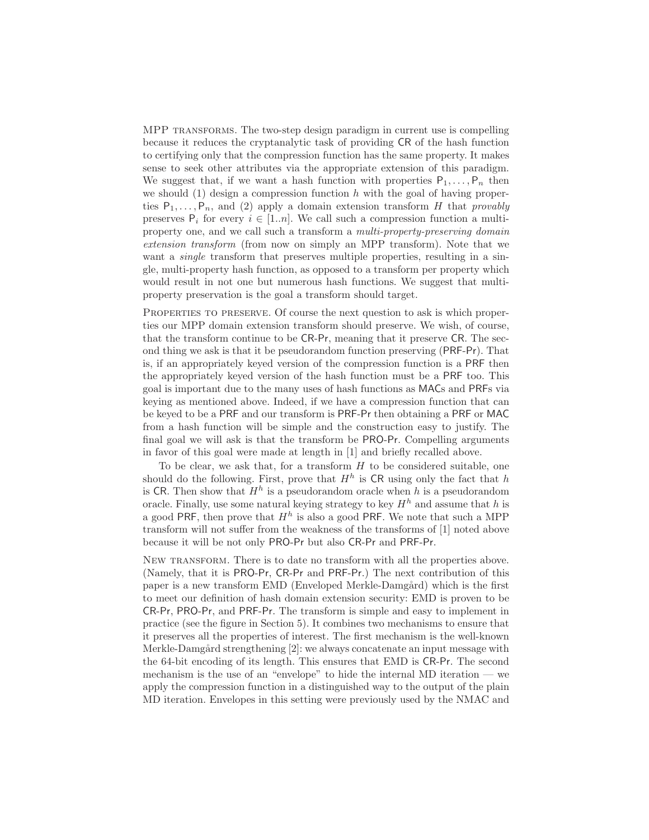MPP transforms. The two-step design paradigm in current use is compelling because it reduces the cryptanalytic task of providing CR of the hash function to certifying only that the compression function has the same property. It makes sense to seek other attributes via the appropriate extension of this paradigm. We suggest that, if we want a hash function with properties  $P_1, \ldots, P_n$  then we should  $(1)$  design a compression function h with the goal of having properties  $P_1, \ldots, P_n$ , and (2) apply a domain extension transform H that provably preserves  $P_i$  for every  $i \in [1..n]$ . We call such a compression function a multiproperty one, and we call such a transform a multi-property-preserving domain extension transform (from now on simply an MPP transform). Note that we want a *single* transform that preserves multiple properties, resulting in a single, multi-property hash function, as opposed to a transform per property which would result in not one but numerous hash functions. We suggest that multiproperty preservation is the goal a transform should target.

PROPERTIES TO PRESERVE. Of course the next question to ask is which properties our MPP domain extension transform should preserve. We wish, of course, that the transform continue to be CR-Pr, meaning that it preserve CR. The second thing we ask is that it be pseudorandom function preserving (PRF-Pr). That is, if an appropriately keyed version of the compression function is a PRF then the appropriately keyed version of the hash function must be a PRF too. This goal is important due to the many uses of hash functions as MACs and PRFs via keying as mentioned above. Indeed, if we have a compression function that can be keyed to be a PRF and our transform is PRF-Pr then obtaining a PRF or MAC from a hash function will be simple and the construction easy to justify. The final goal we will ask is that the transform be PRO-Pr. Compelling arguments in favor of this goal were made at length in [1] and briefly recalled above.

To be clear, we ask that, for a transform  $H$  to be considered suitable, one should do the following. First, prove that  $H<sup>h</sup>$  is CR using only the fact that h is CR. Then show that  $H^h$  is a pseudorandom oracle when h is a pseudorandom oracle. Finally, use some natural keying strategy to key  $H<sup>h</sup>$  and assume that h is a good PRF, then prove that  $H^h$  is also a good PRF. We note that such a MPP transform will not suffer from the weakness of the transforms of [1] noted above because it will be not only PRO-Pr but also CR-Pr and PRF-Pr.

New transform. There is to date no transform with all the properties above. (Namely, that it is PRO-Pr, CR-Pr and PRF-Pr.) The next contribution of this paper is a new transform EMD (Enveloped Merkle-Damgård) which is the first to meet our definition of hash domain extension security: EMD is proven to be CR-Pr, PRO-Pr, and PRF-Pr. The transform is simple and easy to implement in practice (see the figure in Section 5). It combines two mechanisms to ensure that it preserves all the properties of interest. The first mechanism is the well-known Merkle-Damgård strengthening  $[2]$ : we always concatenate an input message with the 64-bit encoding of its length. This ensures that EMD is CR-Pr. The second mechanism is the use of an "envelope" to hide the internal MD iteration — we apply the compression function in a distinguished way to the output of the plain MD iteration. Envelopes in this setting were previously used by the NMAC and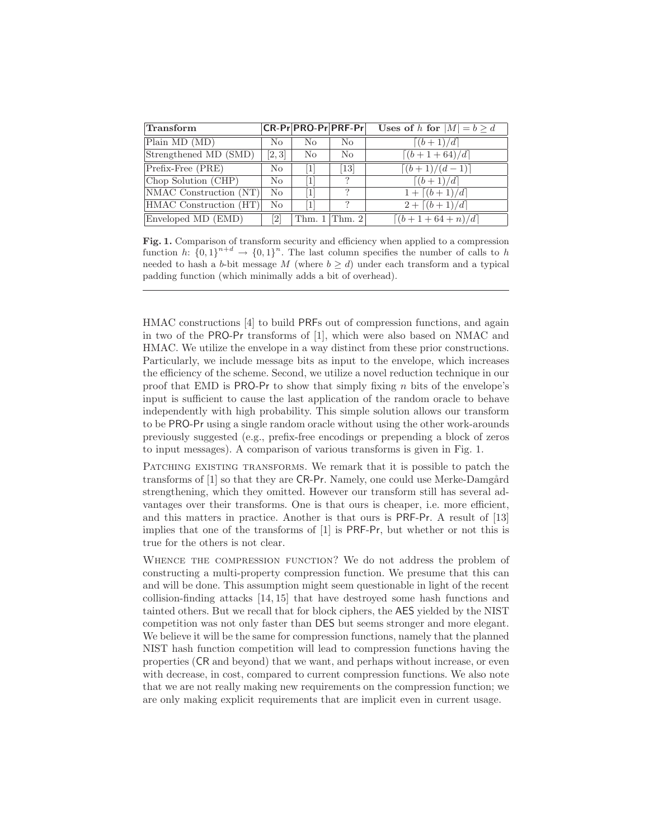| <b>Transform</b>       |                | CR-Pr PRO-Pr PRF-Pr           |      | Uses of h for $ M  = b > d$  |
|------------------------|----------------|-------------------------------|------|------------------------------|
| Plain MD (MD)          | N <sub>o</sub> | No                            | No   | $\lceil (b+1)/d \rceil$      |
| Strengthened MD (SMD)  | [2,3]          | N <sub>o</sub>                | No   | $[(b+1+64)/d]$               |
| Prefix-Free (PRE)      | $\rm No$       | 1                             | [13] | $[(b+1)/(d-1)]$              |
| Chop Solution (CHP)    | No.            | 1                             |      | $\lceil (b+1)/d \rceil$      |
| NMAC Construction (NT) | No             | 1                             |      | $1 + \lceil (b+1)/d \rceil$  |
| HMAC Construction (HT) | No             | [1]                           | 2    | $2 + \lceil (b+1)/d \rceil$  |
| Enveloped MD (EMD)     | [2]            | Thm. $1 \vert$ Thm. $2 \vert$ |      | $\lceil (b+1+64+n)/d \rceil$ |

Fig. 1. Comparison of transform security and efficiency when applied to a compression function h:  $\{0,1\}^{n+d} \to \{0,1\}^n$ . The last column specifies the number of calls to h needed to hash a b-bit message M (where  $b \geq d$ ) under each transform and a typical padding function (which minimally adds a bit of overhead).

HMAC constructions [4] to build PRFs out of compression functions, and again in two of the PRO-Pr transforms of [1], which were also based on NMAC and HMAC. We utilize the envelope in a way distinct from these prior constructions. Particularly, we include message bits as input to the envelope, which increases the efficiency of the scheme. Second, we utilize a novel reduction technique in our proof that EMD is PRO-Pr to show that simply fixing  $n$  bits of the envelope's input is sufficient to cause the last application of the random oracle to behave independently with high probability. This simple solution allows our transform to be PRO-Pr using a single random oracle without using the other work-arounds previously suggested (e.g., prefix-free encodings or prepending a block of zeros to input messages). A comparison of various transforms is given in Fig. 1.

PATCHING EXISTING TRANSFORMS. We remark that it is possible to patch the transforms of  $[1]$  so that they are CR-Pr. Namely, one could use Merke-Damgård strengthening, which they omitted. However our transform still has several advantages over their transforms. One is that ours is cheaper, i.e. more efficient, and this matters in practice. Another is that ours is PRF-Pr. A result of [13] implies that one of the transforms of [1] is PRF-Pr, but whether or not this is true for the others is not clear.

WHENCE THE COMPRESSION FUNCTION? We do not address the problem of constructing a multi-property compression function. We presume that this can and will be done. This assumption might seem questionable in light of the recent collision-finding attacks [14, 15] that have destroyed some hash functions and tainted others. But we recall that for block ciphers, the AES yielded by the NIST competition was not only faster than DES but seems stronger and more elegant. We believe it will be the same for compression functions, namely that the planned NIST hash function competition will lead to compression functions having the properties (CR and beyond) that we want, and perhaps without increase, or even with decrease, in cost, compared to current compression functions. We also note that we are not really making new requirements on the compression function; we are only making explicit requirements that are implicit even in current usage.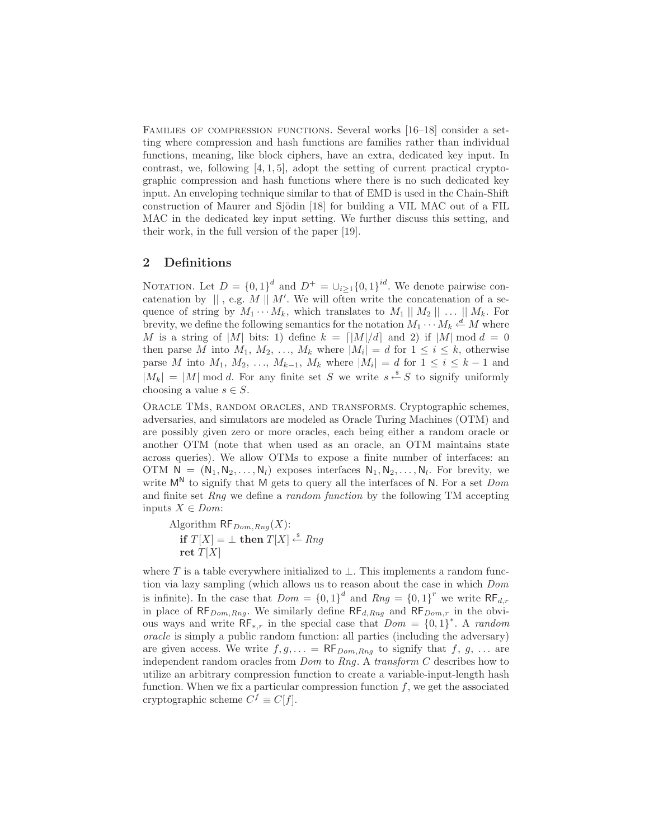FAMILIES OF COMPRESSION FUNCTIONS. Several works [16–18] consider a setting where compression and hash functions are families rather than individual functions, meaning, like block ciphers, have an extra, dedicated key input. In contrast, we, following  $[4, 1, 5]$ , adopt the setting of current practical cryptographic compression and hash functions where there is no such dedicated key input. An enveloping technique similar to that of EMD is used in the Chain-Shift construction of Maurer and Sjödin [18] for building a VIL MAC out of a FIL MAC in the dedicated key input setting. We further discuss this setting, and their work, in the full version of the paper [19].

## 2 Definitions

NOTATION. Let  $D = \{0, 1\}^d$  and  $D^+ = \bigcup_{i \geq 1} \{0, 1\}^{id}$ . We denote pairwise concatenation by  $\parallel$ , e.g. M  $\parallel$  M'. We will often write the concatenation of a sequence of string by  $M_1 \cdots M_k$ , which translates to  $M_1 || M_2 || \ldots || M_k$ . For brevity, we define the following semantics for the notation  $M_1 \cdots M_k \stackrel{d}{\leftarrow} M$  where M is a string of |M| bits: 1) define  $k = \lfloor |M|/d \rfloor$  and 2) if  $|M| \mod d = 0$ then parse M into  $M_1, M_2, \ldots, M_k$  where  $|M_i| = d$  for  $1 \leq i \leq k$ , otherwise parse M into  $M_1, M_2, ..., M_{k-1}, M_k$  where  $|M_i| = d$  for  $1 \le i \le k-1$  and  $|M_k| = |M| \bmod d$ . For any finite set S we write  $s \stackrel{\$}{\leftarrow} S$  to signify uniformly choosing a value  $s \in S$ .

ORACLE TMS, RANDOM ORACLES, AND TRANSFORMS. Cryptographic schemes, adversaries, and simulators are modeled as Oracle Turing Machines (OTM) and are possibly given zero or more oracles, each being either a random oracle or another OTM (note that when used as an oracle, an OTM maintains state across queries). We allow OTMs to expose a finite number of interfaces: an OTM  $N = (N_1, N_2, \ldots, N_l)$  exposes interfaces  $N_1, N_2, \ldots, N_l$ . For brevity, we write  $M^N$  to signify that M gets to query all the interfaces of N. For a set Dom and finite set Rng we define a random function by the following TM accepting inputs  $X \in Dom$ :

Algorithm RF<sub>Dom,Rng</sub>(X):  
\n**if** 
$$
T[X] = \bot
$$
 **then**  $T[X] \stackrel{s}{\leftarrow} Rng$   
\n**ret**  $T[X]$ 

where  $T$  is a table everywhere initialized to  $\bot$ . This implements a random function via lazy sampling (which allows us to reason about the case in which Dom is infinite). In the case that  $Dom = \{0,1\}^d$  and  $Rng = \{0,1\}^r$  we write  $\mathsf{RF}_{d,r}$ in place of  $RF_{Dom,Rng}$ . We similarly define  $RF_{d,Rng}$  and  $RF_{Dom,r}$  in the obvious ways and write  $RF_{*,r}$  in the special case that  $Dom = \{0,1\}^*$ . A random oracle is simply a public random function: all parties (including the adversary) are given access. We write  $f, g, \ldots = RF_{Dom,Rng}$  to signify that  $f, g, \ldots$  are independent random oracles from Dom to Rng. A transform C describes how to utilize an arbitrary compression function to create a variable-input-length hash function. When we fix a particular compression function  $f$ , we get the associated cryptographic scheme  $C^f \equiv C[f]$ .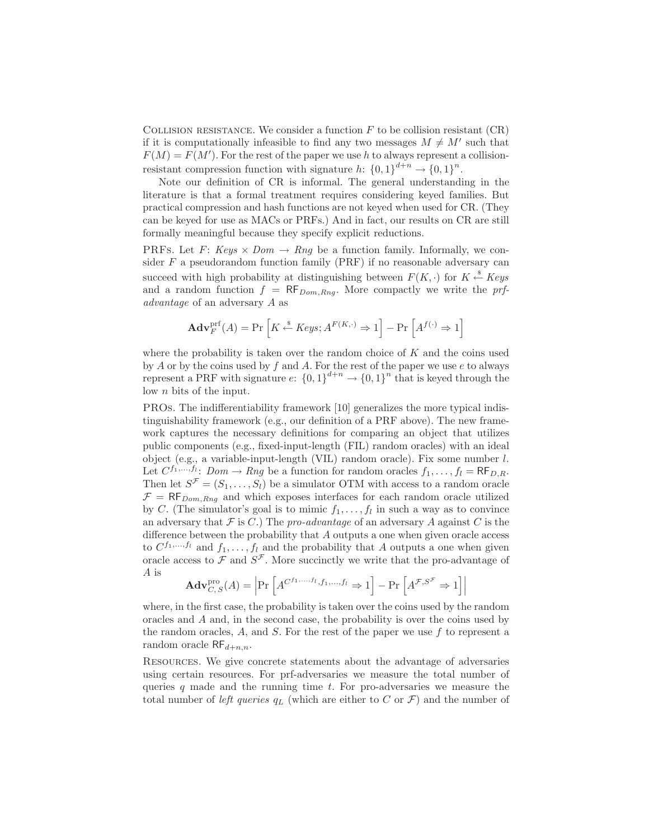COLLISION RESISTANCE. We consider a function  $F$  to be collision resistant  $(CR)$ if it is computationally infeasible to find any two messages  $M \neq M'$  such that  $F(M) = F(M')$ . For the rest of the paper we use h to always represent a collisionresistant compression function with signature h:  ${0,1}^{d+n} \rightarrow {0,1}^n$ .

Note our definition of CR is informal. The general understanding in the literature is that a formal treatment requires considering keyed families. But practical compression and hash functions are not keyed when used for CR. (They can be keyed for use as MACs or PRFs.) And in fact, our results on CR are still formally meaningful because they specify explicit reductions.

PRFs. Let F: Keys  $\times$  Dom  $\rightarrow$  Rng be a function family. Informally, we consider  $F$  a pseudorandom function family (PRF) if no reasonable adversary can succeed with high probability at distinguishing between  $F(K, \cdot)$  for  $K \stackrel{\$}{\leftarrow} Keys$ and a random function  $f = RF_{Dom,Rng}$ . More compactly we write the prfadvantage of an adversary A as

$$
\mathbf{Adv}_{F}^{\mathrm{prf}}(A) = \Pr\left[K \xleftarrow{\$} K \, \text{keys}; A^{F(K, \cdot)} \Rightarrow 1\right] - \Pr\left[A^{f(\cdot)} \Rightarrow 1\right]
$$

where the probability is taken over the random choice of  $K$  and the coins used by A or by the coins used by  $f$  and A. For the rest of the paper we use  $e$  to always represent a PRF with signature  $e: \{0,1\}^{d+n} \to \{0,1\}^n$  that is keyed through the low n bits of the input.

PROs. The indifferentiability framework [10] generalizes the more typical indistinguishability framework (e.g., our definition of a PRF above). The new framework captures the necessary definitions for comparing an object that utilizes public components (e.g., fixed-input-length (FIL) random oracles) with an ideal object (e.g., a variable-input-length (VIL) random oracle). Fix some number  $l$ . Let  $C^{f_1,...,f_l}$ :  $Dom \rightarrow Rng$  be a function for random oracles  $f_1,...,f_l = RF_{D,R}$ . Then let  $S^{\mathcal{F}} = (S_1, \ldots, S_l)$  be a simulator OTM with access to a random oracle  $\mathcal{F} = \mathsf{RF}_{Dom,Rng}$  and which exposes interfaces for each random oracle utilized by C. (The simulator's goal is to mimic  $f_1, \ldots, f_l$  in such a way as to convince an adversary that  $\mathcal F$  is  $C$ .) The pro-advantage of an adversary  $A$  against  $C$  is the difference between the probability that A outputs a one when given oracle access to  $C^{f_1,...,f_l}$  and  $f_1,...,f_l$  and the probability that A outputs a one when given oracle access to  $\mathcal F$  and  $S^{\mathcal F}$ . More succinctly we write that the pro-advantage of A is

$$
\mathbf{Adv}_{C,S}^{\mathrm{pro}}(A) = \left| \Pr \left[ A^{C^{f_1,...,f_l},f_1,...,f_l} \Rightarrow 1 \right] - \Pr \left[ A^{\mathcal{F},S^{\mathcal{F}}} \Rightarrow 1 \right] \right|
$$

where, in the first case, the probability is taken over the coins used by the random oracles and A and, in the second case, the probability is over the coins used by the random oracles,  $A$ , and  $S$ . For the rest of the paper we use f to represent a random oracle  $RF_{d+n,n}$ .

Resources. We give concrete statements about the advantage of adversaries using certain resources. For prf-adversaries we measure the total number of queries  $q$  made and the running time  $t$ . For pro-adversaries we measure the total number of *left queries*  $q_L$  (which are either to C or F) and the number of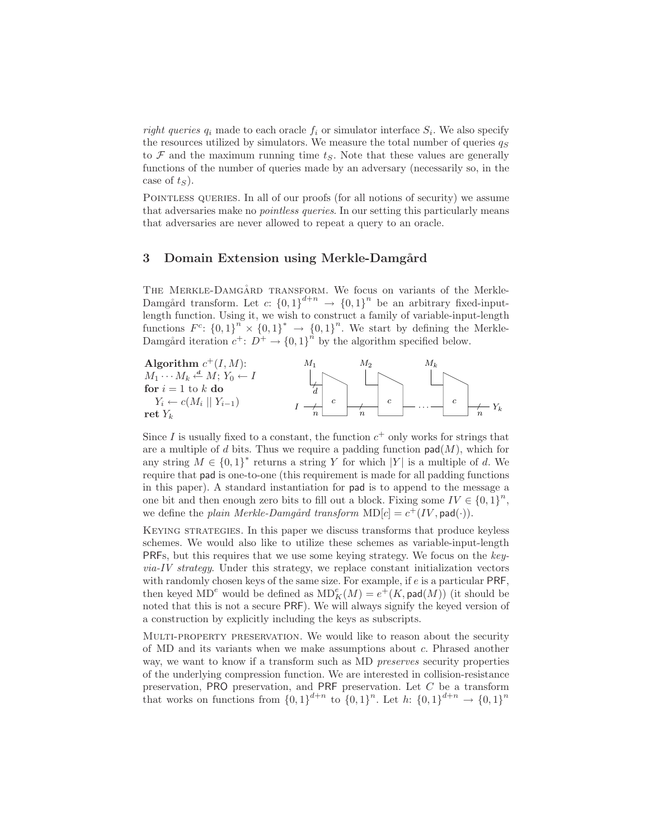right queries  $q_i$  made to each oracle  $f_i$  or simulator interface  $S_i$ . We also specify the resources utilized by simulators. We measure the total number of queries  $q_S$ to  $\mathcal F$  and the maximum running time  $t_S$ . Note that these values are generally functions of the number of queries made by an adversary (necessarily so, in the case of  $t_S$ ).

POINTLESS QUERIES. In all of our proofs (for all notions of security) we assume that adversaries make no *pointless queries*. In our setting this particularly means that adversaries are never allowed to repeat a query to an oracle.

### 3 Domain Extension using Merkle-Damgård

THE MERKLE-DAMGÅRD TRANSFORM. We focus on variants of the Merkle-Damgård transform. Let  $c: \{0,1\}^{d+n} \to \{0,1\}^n$  be an arbitrary fixed-inputlength function. Using it, we wish to construct a family of variable-input-length functions  $F^c$ :  $\{0,1\}^n \times \{0,1\}^n \rightarrow \{0,1\}^n$ . We start by defining the Merkle-Damgård iteration  $c^+$ :  $D^+ \rightarrow \{0,1\}^n$  by the algorithm specified below.



Since I is usually fixed to a constant, the function  $c^+$  only works for strings that are a multiple of d bits. Thus we require a padding function  $\text{pad}(M)$ , which for any string  $M \in \{0,1\}^*$  returns a string Y for which |Y| is a multiple of d. We require that pad is one-to-one (this requirement is made for all padding functions in this paper). A standard instantiation for pad is to append to the message a one bit and then enough zero bits to fill out a block. Fixing some  $IV \in \{0,1\}^n$ , we define the *plain Merkle-Damgård transform*  $MD[c] = c^{+}(IV, pad(\cdot)).$ 

Keying strategies. In this paper we discuss transforms that produce keyless schemes. We would also like to utilize these schemes as variable-input-length PRFs, but this requires that we use some keying strategy. We focus on the key $via$ -IV strategy. Under this strategy, we replace constant initialization vectors with randomly chosen keys of the same size. For example, if  $e$  is a particular PRF, then keyed MD<sup>e</sup> would be defined as  $MD_K^e(M) = e^+(K, \text{pad}(M))$  (it should be noted that this is not a secure PRF). We will always signify the keyed version of a construction by explicitly including the keys as subscripts.

Multi-property preservation. We would like to reason about the security of MD and its variants when we make assumptions about c. Phrased another way, we want to know if a transform such as MD *preserves* security properties of the underlying compression function. We are interested in collision-resistance preservation, PRO preservation, and PRF preservation. Let C be a transform that works on functions from  $\{0,1\}^{d+n}$  to  $\{0,1\}^n$ . Let  $h: \{0,1\}^{d+n} \to \{0,1\}^n$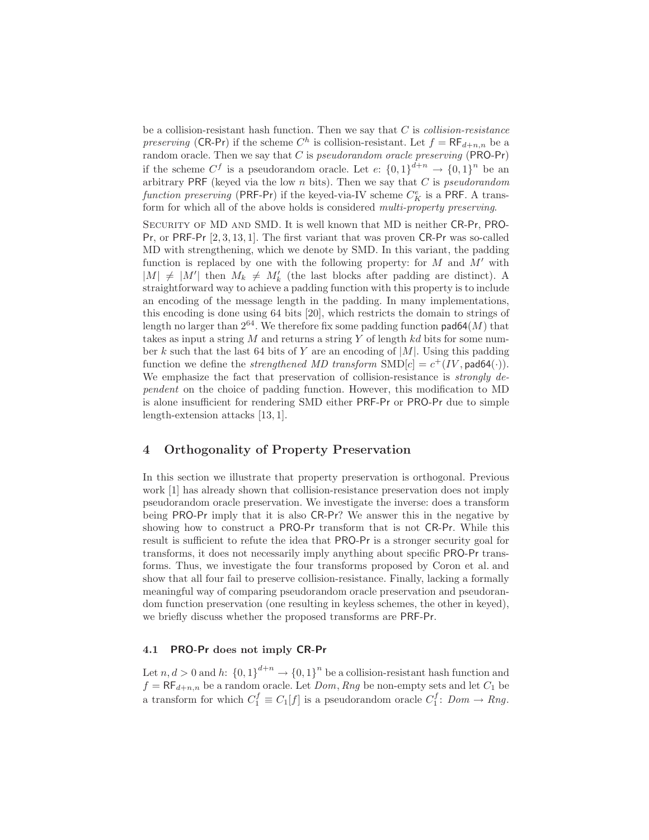be a collision-resistant hash function. Then we say that  $C$  is *collision-resistance* preserving (CR-Pr) if the scheme  $C^h$  is collision-resistant. Let  $f = RF_{d+n,n}$  be a random oracle. Then we say that  $C$  is *pseudorandom oracle preserving* (PRO-Pr) if the scheme  $C^f$  is a pseudorandom oracle. Let  $e: \{0,1\}^{d+n} \to \{0,1\}^n$  be an arbitrary PRF (keyed via the low n bits). Then we say that  $C$  is *pseudorandom* function preserving (PRF-Pr) if the keyed-via-IV scheme  $C_K^e$  is a PRF. A transform for which all of the above holds is considered multi-property preserving.

Security of MD and SMD. It is well known that MD is neither CR-Pr, PRO-Pr, or PRF-Pr [2, 3, 13, 1]. The first variant that was proven CR-Pr was so-called MD with strengthening, which we denote by SMD. In this variant, the padding function is replaced by one with the following property: for  $M$  and  $M'$  with  $|M| \neq |M'|$  then  $M_k \neq M'_k$  (the last blocks after padding are distinct). A straightforward way to achieve a padding function with this property is to include an encoding of the message length in the padding. In many implementations, this encoding is done using 64 bits [20], which restricts the domain to strings of length no larger than  $2^{64}$ . We therefore fix some padding function pad64(M) that takes as input a string  $M$  and returns a string  $Y$  of length  $kd$  bits for some number k such that the last 64 bits of Y are an encoding of  $|M|$ . Using this padding function we define the *strengthened MD transform*  $SMD[c] = c^{+}(IV, \text{pad64}(.))$ . We emphasize the fact that preservation of collision-resistance is *strongly de*pendent on the choice of padding function. However, this modification to MD is alone insufficient for rendering SMD either PRF-Pr or PRO-Pr due to simple length-extension attacks [13, 1].

## 4 Orthogonality of Property Preservation

In this section we illustrate that property preservation is orthogonal. Previous work [1] has already shown that collision-resistance preservation does not imply pseudorandom oracle preservation. We investigate the inverse: does a transform being PRO-Pr imply that it is also CR-Pr? We answer this in the negative by showing how to construct a PRO-Pr transform that is not CR-Pr. While this result is sufficient to refute the idea that PRO-Pr is a stronger security goal for transforms, it does not necessarily imply anything about specific PRO-Pr transforms. Thus, we investigate the four transforms proposed by Coron et al. and show that all four fail to preserve collision-resistance. Finally, lacking a formally meaningful way of comparing pseudorandom oracle preservation and pseudorandom function preservation (one resulting in keyless schemes, the other in keyed), we briefly discuss whether the proposed transforms are PRF-Pr.

### 4.1 PRO-Pr does not imply CR-Pr

Let  $n, d > 0$  and  $h: \{0, 1\}^{d+n} \to \{0, 1\}^n$  be a collision-resistant hash function and  $f = RF_{d+n,n}$  be a random oracle. Let  $Dom, Rng$  be non-empty sets and let  $C_1$  be a transform for which  $C_1^f \equiv C_1[f]$  is a pseudorandom oracle  $C_1^f$ :  $Dom \rightarrow Rng$ .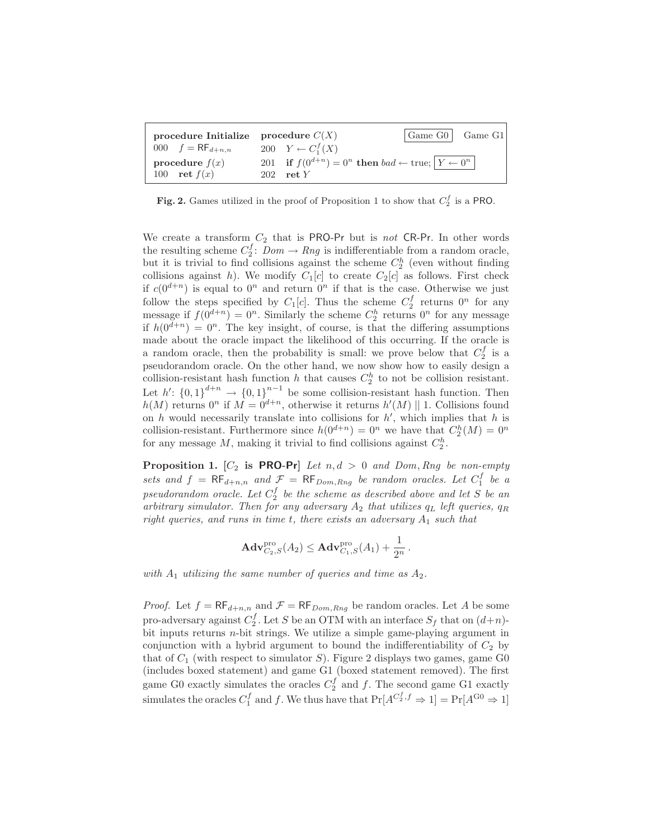| procedure Initialize procedure $C(X)$ | $\vert$ Game G0 $\vert$ Game G1                                                              |
|---------------------------------------|----------------------------------------------------------------------------------------------|
| 000 $f = RF_{d+n,n}$                  | 200 $Y \leftarrow C_1^f(X)$                                                                  |
| procedure $f(x)$<br>100 ret $f(x)$    | 201 if $f(0^{d+n}) = 0^n$ then $bad \leftarrow \text{true}; Y \leftarrow 0^n$<br>$202$ ret Y |
|                                       |                                                                                              |

Fig. 2. Games utilized in the proof of Proposition 1 to show that  $C_2^f$  is a PRO.

We create a transform  $C_2$  that is PRO-Pr but is not CR-Pr. In other words the resulting scheme  $C_2^f$ :  $Dom \rightarrow Rng$  is indifferentiable from a random oracle, but it is trivial to find collisions against the scheme  $C_2^h$  (even without finding collisions against h). We modify  $C_1[c]$  to create  $C_2[c]$  as follows. First check if  $c(0^{d+n})$  is equal to  $0^n$  and return  $0^n$  if that is the case. Otherwise we just follow the steps specified by  $C_1[c]$ . Thus the scheme  $C_2^f$  returns  $0^n$  for any message if  $f(0^{d+n}) = 0^n$ . Similarly the scheme  $C_2^h$  returns  $0^n$  for any message if  $h(0^{d+n}) = 0^n$ . The key insight, of course, is that the differing assumptions made about the oracle impact the likelihood of this occurring. If the oracle is a random oracle, then the probability is small: we prove below that  $C_2^f$  is a pseudorandom oracle. On the other hand, we now show how to easily design a collision-resistant hash function h that causes  $C_2^h$  to not be collision resistant. Let  $h'$ :  $\{0,1\}^{d+n} \to \{0,1\}^{n-1}$  be some collision-resistant hash function. Then  $h(M)$  returns  $0^n$  if  $M = 0^{d+n}$ , otherwise it returns  $h'(M) \parallel 1$ . Collisions found on  $h$  would necessarily translate into collisions for  $h'$ , which implies that  $h$  is collision-resistant. Furthermore since  $h(0^{d+n}) = 0^n$  we have that  $C_2^h(M) = 0^n$ for any message  $M$ , making it trivial to find collisions against  $C_2^h$ .

**Proposition 1.** [ $C_2$  is **PRO-Pr**] Let  $n, d > 0$  and Dom, Rng be non-empty sets and  $f = RF_{d+n,n}$  and  $\mathcal{F} = RF_{Dom,Rng}$  be random oracles. Let  $C_1^f$  be a pseudorandom oracle. Let  $C_2^f$  be the scheme as described above and let S be an arbitrary simulator. Then for any adversary  $A_2$  that utilizes  $q_L$  left queries,  $q_R$ right queries, and runs in time t, there exists an adversary  $A_1$  such that

$$
\mathbf{Adv}_{C_2,S}^{\text{pro}}(A_2) \leq \mathbf{Adv}_{C_1,S}^{\text{pro}}(A_1) + \frac{1}{2^n}.
$$

with  $A_1$  utilizing the same number of queries and time as  $A_2$ .

*Proof.* Let  $f = RF_{d+n,n}$  and  $\mathcal{F} = RF_{Dom,Rng}$  be random oracles. Let A be some pro-adversary against  $C_2^f$ . Let S be an OTM with an interface  $S_f$  that on  $(d+n)$ bit inputs returns n-bit strings. We utilize a simple game-playing argument in conjunction with a hybrid argument to bound the indifferentiability of  $C_2$  by that of  $C_1$  (with respect to simulator S). Figure 2 displays two games, game G0 (includes boxed statement) and game G1 (boxed statement removed). The first game G0 exactly simulates the oracles  $C_2^f$  and f. The second game G1 exactly simulates the oracles  $C_1^f$  and f. We thus have that  $Pr[A^{C_2^f, f} \Rightarrow 1] = Pr[A^{G_0} \Rightarrow 1]$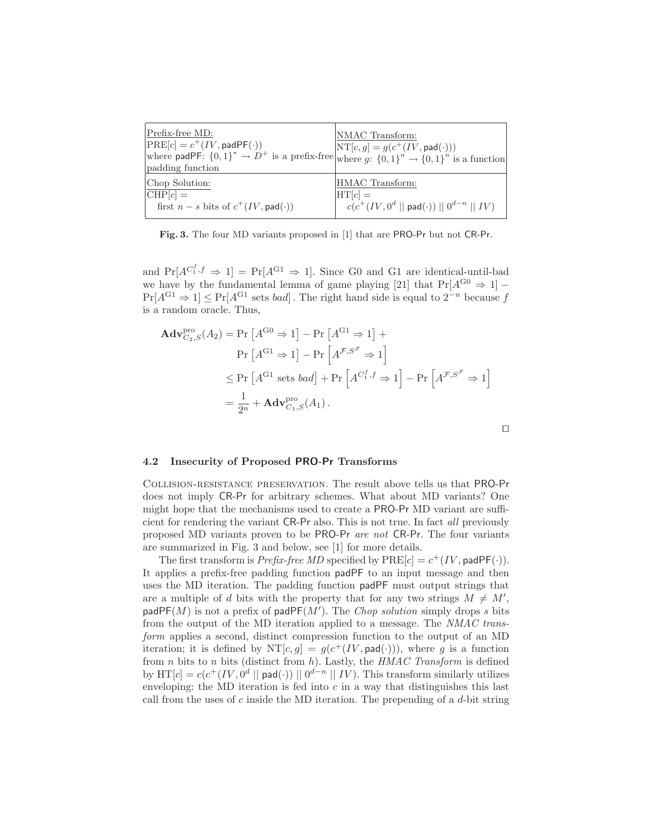| Prefix-free MD:<br>$ PRE[c] = c^+(IV, \text{padPF}(\cdot))$<br>where padPF: $\{0,1\}^* \to D^+$ is a prefix-free where $q: \{0,1\}^n \to \{0,1\}^n$ is a function<br>padding function | NMAC Transform:<br>$\text{NT}[c, g] = g(c^+(IV, \text{pad}(\cdot)))$                                  |
|---------------------------------------------------------------------------------------------------------------------------------------------------------------------------------------|-------------------------------------------------------------------------------------------------------|
| Chop Solution:<br>$[CHP[c] =$<br>first $n - s$ bits of $c^+(IV, \text{pad}(\cdot))$                                                                                                   | HMAC Transform:<br>$HT[c] =$<br>$c(c^+(IV, 0^d \mid \mid pad(\cdot)) \mid \mid 0^{d-n} \mid \mid IV)$ |

Fig. 3. The four MD variants proposed in [1] that are PRO-Pr but not CR-Pr.

and  $Pr[A^{C_1^f,f} \Rightarrow 1] = Pr[A^{G_1} \Rightarrow 1]$ . Since G0 and G1 are identical-until-bad we have by the fundamental lemma of game playing [21] that  $Pr[A^{G0} \Rightarrow 1]$  –  $Pr[A^{G_1} \Rightarrow 1] \leq Pr[A^{G_1} \text{ sets } bad]$ . The right hand side is equal to  $2^{-n}$  because f is a random oracle. Thus,

$$
\begin{aligned}\n\mathbf{Adv}_{C_2,S}^{\text{pro}}(A_2) &= \Pr\left[A^{\text{G0}} \Rightarrow 1\right] - \Pr\left[A^{\text{G1}} \Rightarrow 1\right] + \\
&\Pr\left[A^{\text{G1}} \Rightarrow 1\right] - \Pr\left[A^{\mathcal{F},S^{\mathcal{F}}} \Rightarrow 1\right] \\
&\leq \Pr\left[A^{\text{G1}} \text{ sets } bad\right] + \Pr\left[A^{C_1^f,f} \Rightarrow 1\right] - \Pr\left[A^{\mathcal{F},S^{\mathcal{F}}} \Rightarrow 1\right] \\
&= \frac{1}{2^n} + \mathbf{Adv}_{C_1,S}^{\text{pro}}(A_1)\,. \n\end{aligned}
$$

⊓⊔

#### 4.2 Insecurity of Proposed PRO-Pr Transforms

Collision-resistance preservation. The result above tells us that PRO-Pr does not imply CR-Pr for arbitrary schemes. What about MD variants? One might hope that the mechanisms used to create a PRO-Pr MD variant are sufficient for rendering the variant CR-Pr also. This is not true. In fact all previously proposed MD variants proven to be PRO-Pr are not CR-Pr. The four variants are summarized in Fig. 3 and below, see [1] for more details.

The first transform is *Prefix-free MD* specified by  $\text{PRE}[c] = c^+(IV, \text{padPF}(\cdot)).$ It applies a prefix-free padding function padPF to an input message and then uses the MD iteration. The padding function padPF must output strings that are a multiple of d bits with the property that for any two strings  $M \neq M'$ , padPF( $M$ ) is not a prefix of padPF( $M'$ ). The Chop solution simply drops s bits from the output of the MD iteration applied to a message. The NMAC transform applies a second, distinct compression function to the output of an MD iteration; it is defined by  $NT[c, g] = g(c^+(IV, pad(\cdot)))$ , where g is a function from n bits to n bits (distinct from  $h$ ). Lastly, the  $HMAC$  Transform is defined by  $HT[c] = c(c^+(IV, 0^d \mid \text{pad}(\cdot)) \mid \mid 0^{d-n} \mid \mid IV)$ . This transform similarly utilizes enveloping: the MD iteration is fed into  $c$  in a way that distinguishes this last call from the uses of  $c$  inside the MD iteration. The prepending of a  $d$ -bit string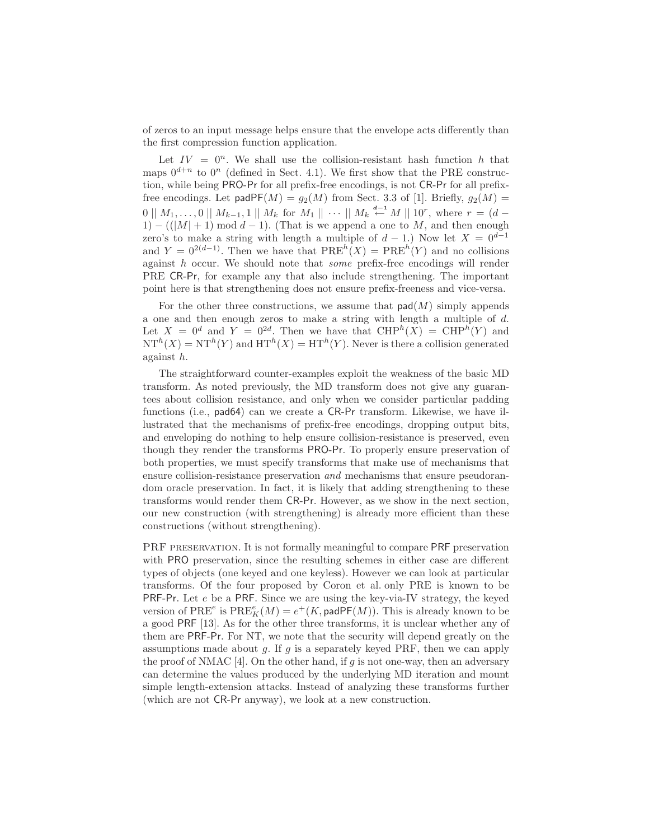of zeros to an input message helps ensure that the envelope acts differently than the first compression function application.

Let  $IV = 0<sup>n</sup>$ . We shall use the collision-resistant hash function h that maps  $0^{d+n}$  to  $0^n$  (defined in Sect. 4.1). We first show that the PRE construction, while being PRO-Pr for all prefix-free encodings, is not CR-Pr for all prefixfree encodings. Let  $\mathsf{padPF}(M) = g_2(M)$  from Sect. 3.3 of [1]. Briefly,  $g_2(M)$  =  $0 \parallel M_1, \ldots, 0 \parallel M_{k-1}, 1 \parallel M_k$  for  $M_1 \parallel \cdots \parallel M_k \stackrel{d-1}{\leftarrow} M \parallel 10^r$ , where  $r = (d 1) - ((|M| + 1) \mod d - 1)$ . (That is we append a one to M, and then enough zero's to make a string with length a multiple of  $d-1$ .) Now let  $X = 0^{d-1}$ and  $Y = 0^{2(d-1)}$ . Then we have that  $\text{PRE}^h(X) = \text{PRE}^h(Y)$  and no collisions against h occur. We should note that some prefix-free encodings will render PRE CR-Pr, for example any that also include strengthening. The important point here is that strengthening does not ensure prefix-freeness and vice-versa.

For the other three constructions, we assume that  $\text{pad}(M)$  simply appends a one and then enough zeros to make a string with length a multiple of d. Let  $X = 0^d$  and  $Y = 0^{2d}$ . Then we have that  $CHP^h(X) = CHP^h(Y)$  and  $NT^{h}(X) = NT^{h}(Y)$  and  $HT^{h}(X) = HT^{h}(Y)$ . Never is there a collision generated against h.

The straightforward counter-examples exploit the weakness of the basic MD transform. As noted previously, the MD transform does not give any guarantees about collision resistance, and only when we consider particular padding functions (i.e., pad64) can we create a CR-Pr transform. Likewise, we have illustrated that the mechanisms of prefix-free encodings, dropping output bits, and enveloping do nothing to help ensure collision-resistance is preserved, even though they render the transforms PRO-Pr. To properly ensure preservation of both properties, we must specify transforms that make use of mechanisms that ensure collision-resistance preservation and mechanisms that ensure pseudorandom oracle preservation. In fact, it is likely that adding strengthening to these transforms would render them CR-Pr. However, as we show in the next section, our new construction (with strengthening) is already more efficient than these constructions (without strengthening).

PRF preservation. It is not formally meaningful to compare PRF preservation with PRO preservation, since the resulting schemes in either case are different types of objects (one keyed and one keyless). However we can look at particular transforms. Of the four proposed by Coron et al. only PRE is known to be PRF-Pr. Let e be a PRF. Since we are using the key-via-IV strategy, the keyed version of PRE<sup>e</sup> is  $\text{PRE}_K^e(M) = e^+(K, \text{padPF}(M))$ . This is already known to be a good PRF [13]. As for the other three transforms, it is unclear whether any of them are PRF-Pr. For NT, we note that the security will depend greatly on the assumptions made about q. If q is a separately keyed PRF, then we can apply the proof of NMAC [4]. On the other hand, if  $g$  is not one-way, then an adversary can determine the values produced by the underlying MD iteration and mount simple length-extension attacks. Instead of analyzing these transforms further (which are not CR-Pr anyway), we look at a new construction.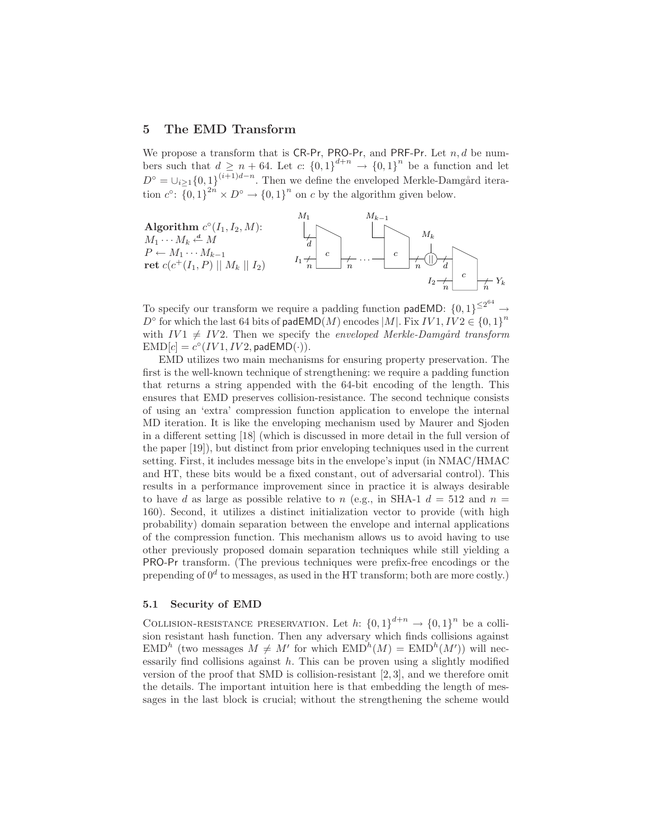## 5 The EMD Transform

We propose a transform that is  $CR-Pr$ , PRO-Pr, and PRF-Pr. Let  $n, d$  be numbers such that  $d \geq n + 64$ . Let  $c: \{0,1\}^{d+n} \to \{0,1\}^n$  be a function and let  $D^{\circ} = \bigcup_{i \geq 1} \{0, 1\}^{(i+1)d-n}$ . Then we define the enveloped Merkle-Damgård iteration  $c^{\circ}$ :  $\{0,1\}^{2n} \times D^{\circ} \to \{0,1\}^n$  on c by the algorithm given below.



To specify our transform we require a padding function padEMD:  $\{0,1\}^{\leq 2^{64}} \rightarrow$ D<sup>o</sup> for which the last 64 bits of padEMD(M) encodes  $|M|$ . Fix  $IV1, IV2 \in \{0,1\}^n$ with  $IV1 \neq IV2$ . Then we specify the enveloped Merkle-Damgård transform  $\text{EMD}[c] = c^{\circ}(IV1, IV2, \text{padEMD}(\cdot)).$ 

EMD utilizes two main mechanisms for ensuring property preservation. The first is the well-known technique of strengthening: we require a padding function that returns a string appended with the 64-bit encoding of the length. This ensures that EMD preserves collision-resistance. The second technique consists of using an 'extra' compression function application to envelope the internal MD iteration. It is like the enveloping mechanism used by Maurer and Sjoden in a different setting [18] (which is discussed in more detail in the full version of the paper [19]), but distinct from prior enveloping techniques used in the current setting. First, it includes message bits in the envelope's input (in NMAC/HMAC and HT, these bits would be a fixed constant, out of adversarial control). This results in a performance improvement since in practice it is always desirable to have d as large as possible relative to n (e.g., in SHA-1  $d = 512$  and  $n =$ 160). Second, it utilizes a distinct initialization vector to provide (with high probability) domain separation between the envelope and internal applications of the compression function. This mechanism allows us to avoid having to use other previously proposed domain separation techniques while still yielding a PRO-Pr transform. (The previous techniques were prefix-free encodings or the prepending of  $0^d$  to messages, as used in the HT transform; both are more costly.)

#### 5.1 Security of EMD

COLLISION-RESISTANCE PRESERVATION. Let  $h: \{0,1\}^{d+n} \to \{0,1\}^n$  be a collision resistant hash function. Then any adversary which finds collisions against  $\text{EMD}^h$  (two messages  $M \neq M'$  for which  $\text{EMD}^h(M) = \text{EMD}^h(M')$ ) will necessarily find collisions against  $h$ . This can be proven using a slightly modified version of the proof that SMD is collision-resistant [2, 3], and we therefore omit the details. The important intuition here is that embedding the length of messages in the last block is crucial; without the strengthening the scheme would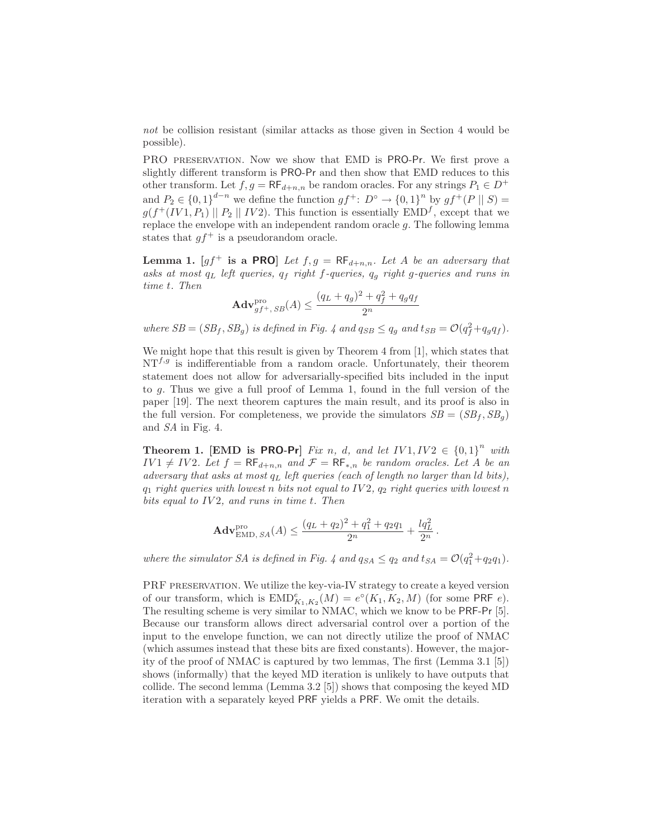not be collision resistant (similar attacks as those given in Section 4 would be possible).

PRO preservation. Now we show that EMD is PRO-Pr. We first prove a slightly different transform is PRO-Pr and then show that EMD reduces to this other transform. Let  $f,g = \mathsf{RF}_{d+n,n}$  be random oracles. For any strings  $P_1 \in D^+$ and  $P_2 \in \{0,1\}^{d-n}$  we define the function  $gf^{\dagger}$ :  $D^{\circ} \to \{0,1\}^n$  by  $gf^{\dagger}(P \parallel S)$  =  $g(f^+(IV), P_1)$  ||  $P_2$  ||  $IV2$ ). This function is essentially EMD<sup>f</sup>, except that we replace the envelope with an independent random oracle g. The following lemma states that  $gf^+$  is a pseudorandom oracle.

**Lemma 1.** [gf<sup>+</sup> is a **PRO**] Let  $f, g = RF_{d+n,n}$ . Let A be an adversary that asks at most  $q_L$  left queries,  $q_f$  right f-queries,  $q_g$  right g-queries and runs in time t. Then

$$
Ad\mathbf{v}_{gf^+,SB}^{\text{pro}}(A) \le \frac{(q_L + q_g)^2 + q_f^2 + q_g q_f}{2^n}
$$

where  $SB = (SB_f, SB_g)$  is defined in Fig. 4 and  $q_{SB} \leq q_g$  and  $t_{SB} = \mathcal{O}(q_f^2 + q_g q_f)$ .

We might hope that this result is given by Theorem 4 from [1], which states that  $NT^{f,g}$  is indifferentiable from a random oracle. Unfortunately, their theorem statement does not allow for adversarially-specified bits included in the input to g. Thus we give a full proof of Lemma 1, found in the full version of the paper [19]. The next theorem captures the main result, and its proof is also in the full version. For completeness, we provide the simulators  $SB = (SB_f, SB_q)$ and SA in Fig. 4.

**Theorem 1. [EMD is PRO-Pr]** Fix n, d, and let  $IV1, IV2 \in \{0,1\}^n$  with  $IV1 \neq IV2$ . Let  $f = RF_{d+n,n}$  and  $\mathcal{F} = RF_{*,n}$  be random oracles. Let A be an adversary that asks at most  $q_L$  left queries (each of length no larger than ld bits),  $q_1$  right queries with lowest n bits not equal to IV2,  $q_2$  right queries with lowest n bits equal to  $IV2$ , and runs in time t. Then

$$
\mathbf{Adv}_{\mathrm{EMD},\,SA}^{\mathrm{pro}}(A) \le \frac{(q_L + q_2)^2 + q_1^2 + q_2 q_1}{2^n} + \frac{l q_L^2}{2^n}.
$$

where the simulator SA is defined in Fig. 4 and  $q_{SA} \leq q_2$  and  $t_{SA} = \mathcal{O}(q_1^2 + q_2 q_1)$ .

PRF preservation. We utilize the key-via-IV strategy to create a keyed version of our transform, which is  $\text{EMD}_{K_1,K_2}^e(M) = e^{\circ}(K_1, K_2, M)$  (for some PRF  $e$ ). The resulting scheme is very similar to NMAC, which we know to be PRF-Pr [5]. Because our transform allows direct adversarial control over a portion of the input to the envelope function, we can not directly utilize the proof of NMAC (which assumes instead that these bits are fixed constants). However, the majority of the proof of NMAC is captured by two lemmas, The first (Lemma 3.1 [5]) shows (informally) that the keyed MD iteration is unlikely to have outputs that collide. The second lemma (Lemma 3.2 [5]) shows that composing the keyed MD iteration with a separately keyed PRF yields a PRF. We omit the details.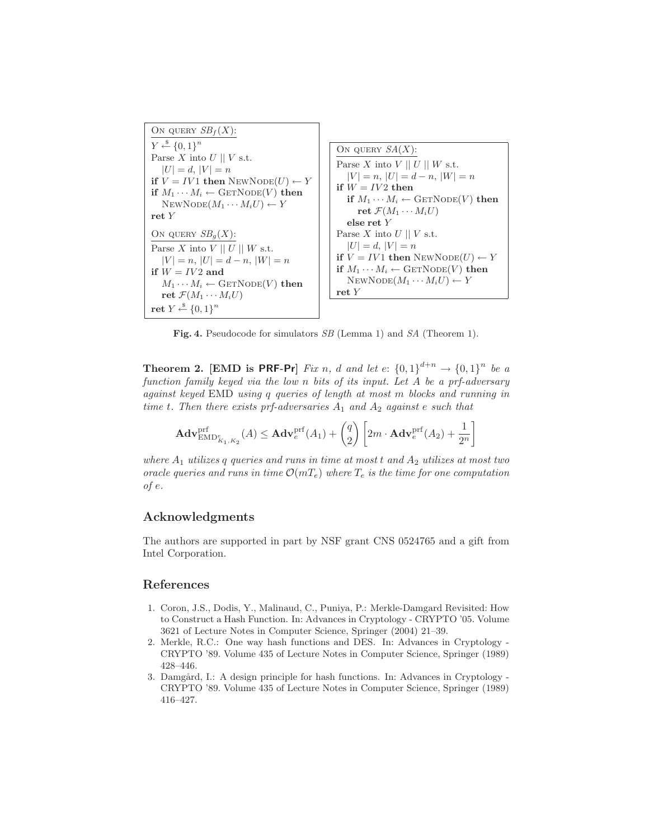ON QUERY  $SB_f(X)$ :  $Y \stackrel{\$}{\leftarrow} \{0,1\}^n$ Parse X into  $U \parallel V$  s.t.  $|U| = d, |V| = n$ if  $V = IV1$  then NEWNODE $(U) \leftarrow Y$ if  $M_1 \cdots M_i \leftarrow \text{GETNode}(V)$  then  $N$ EWNODE $(M_1 \cdots M_i U) \leftarrow Y$ ret Y ON QUERY  $SB_q(X)$ : Parse  $X$  into  $V \parallel U \parallel W$  s.t.  $|V| = n, |U| = d - n, |W| = n$ if  $W = IV2$  and  $M_1 \cdots M_i \leftarrow \text{GETNode}(V)$  then ret  $\mathcal{F}(M_1 \cdots M_i U)$  ${\bf ret}\ Y \stackrel{\hspace{0.1em}\mathsf{\scriptscriptstyle\$}}{\leftarrow} \{0,1\}^n$ ON QUERY  $SA(X)$ : Parse  $X$  into  $V \parallel U \parallel W$  s.t.  $|V| = n, |U| = d - n, |W| = n$ if  $W = IV2$  then if  $M_1 \cdots M_i \leftarrow \text{GETNode}(V)$  then ret  $\mathcal{F}(M_1 \cdots M_i U)$ else ret Y Parse  $X$  into  $U \parallel V$  s.t.  $|U| = d, |V| = n$ if  $V = IV1$  then NEWNODE $(U) \leftarrow Y$ if  $M_1 \cdots M_i \leftarrow \text{GETNode}(V)$  then  $N$ EWNODE $(M_1 \cdots M_i U) \leftarrow Y$ ret Y

Fig. 4. Pseudocode for simulators SB (Lemma 1) and SA (Theorem 1).

**Theorem 2.** [EMD is PRF-Pr] Fix n, d and let  $e: \{0,1\}^{d+n} \rightarrow \{0,1\}^n$  be a function family keyed via the low n bits of its input. Let A be a prf-adversary against keyed EMD using q queries of length at most m blocks and running in time t. Then there exists prf-adversaries  $A_1$  and  $A_2$  against e such that

$$
\mathbf{Adv}_{\mathrm{EMD}_{K_1, K_2}}^{\mathrm{prf}}(A) \le \mathbf{Adv}_{e}^{\mathrm{prf}}(A_1) + {q \choose 2} \left[2m \cdot \mathbf{Adv}_{e}^{\mathrm{prf}}(A_2) + \frac{1}{2^n}\right]
$$

where  $A_1$  utilizes q queries and runs in time at most t and  $A_2$  utilizes at most two oracle queries and runs in time  $\mathcal{O}(mT_e)$  where  $T_e$  is the time for one computation of e.

## Acknowledgments

The authors are supported in part by NSF grant CNS 0524765 and a gift from Intel Corporation.

### References

- 1. Coron, J.S., Dodis, Y., Malinaud, C., Puniya, P.: Merkle-Damgard Revisited: How to Construct a Hash Function. In: Advances in Cryptology - CRYPTO '05. Volume 3621 of Lecture Notes in Computer Science, Springer (2004) 21–39.
- 2. Merkle, R.C.: One way hash functions and DES. In: Advances in Cryptology CRYPTO '89. Volume 435 of Lecture Notes in Computer Science, Springer (1989) 428–446.
- 3. Damgård, I.: A design principle for hash functions. In: Advances in Cryptology -CRYPTO '89. Volume 435 of Lecture Notes in Computer Science, Springer (1989) 416–427.